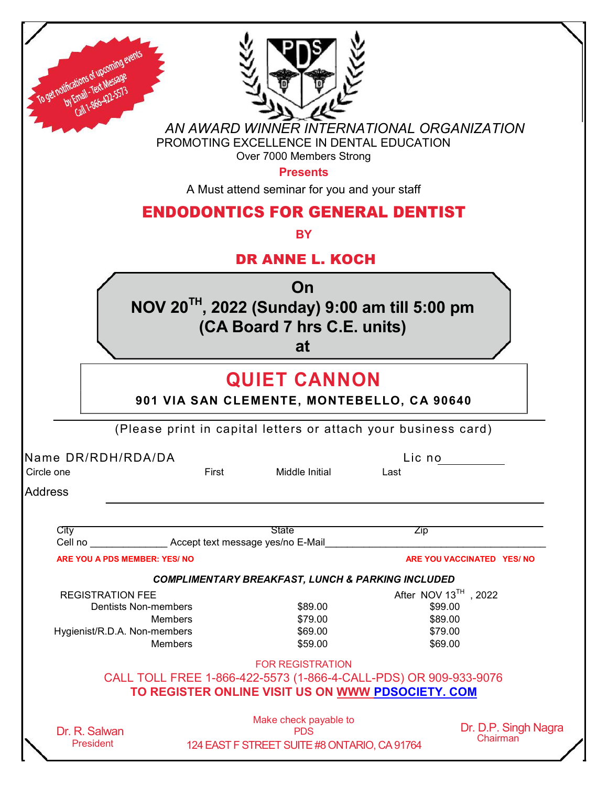| To get notifications of upcoming<br>by Email - Text Messag<br>Call 1-866-422-557                                                                                          |                                                                                                                                                  |                                  |
|---------------------------------------------------------------------------------------------------------------------------------------------------------------------------|--------------------------------------------------------------------------------------------------------------------------------------------------|----------------------------------|
|                                                                                                                                                                           | AN AWARD WINNER INTERNATIONAL ORGANIZATION<br>PROMOTING EXCELLENCE IN DENTAL EDUCATION<br>Over 7000 Members Strong<br><b>Presents</b>            |                                  |
|                                                                                                                                                                           | A Must attend seminar for you and your staff                                                                                                     |                                  |
|                                                                                                                                                                           | <b>ENDODONTICS FOR GENERAL DENTIST</b>                                                                                                           |                                  |
|                                                                                                                                                                           | <b>BY</b>                                                                                                                                        |                                  |
|                                                                                                                                                                           | <b>DR ANNE L. KOCH</b>                                                                                                                           |                                  |
| On<br>NOV 20 <sup>TH</sup> , 2022 (Sunday) 9:00 am till 5:00 pm<br>(CA Board 7 hrs C.E. units)<br>at<br><b>QUIET CANNON</b><br>901 VIA SAN CLEMENTE, MONTEBELLO, CA 90640 |                                                                                                                                                  |                                  |
|                                                                                                                                                                           |                                                                                                                                                  |                                  |
|                                                                                                                                                                           |                                                                                                                                                  |                                  |
| Name DR/RDH/RDA/DA<br>Circle one                                                                                                                                          | First<br>Middle Initial                                                                                                                          | Lic no<br>Last                   |
|                                                                                                                                                                           |                                                                                                                                                  |                                  |
|                                                                                                                                                                           |                                                                                                                                                  |                                  |
| City                                                                                                                                                                      | <b>State</b><br>Cell no <b>Cell no</b> Accept text message yes/no E-Mail                                                                         | <b>Zip</b>                       |
| <b>ARE YOU A PDS MEMBER: YES/ NO</b>                                                                                                                                      |                                                                                                                                                  | ARE YOU VACCINATED YES/ NO       |
|                                                                                                                                                                           | <b>COMPLIMENTARY BREAKFAST, LUNCH &amp; PARKING INCLUDED</b>                                                                                     |                                  |
| <b>REGISTRATION FEE</b>                                                                                                                                                   |                                                                                                                                                  | After NOV 13TH, 2022             |
| <b>Dentists Non-members</b>                                                                                                                                               | \$89.00                                                                                                                                          | \$99.00                          |
| Members                                                                                                                                                                   | \$79.00                                                                                                                                          | \$89.00                          |
| Hygienist/R.D.A. Non-members<br><b>Members</b>                                                                                                                            | \$69.00<br>\$59.00                                                                                                                               | \$79.00<br>\$69.00               |
| <b>Address</b>                                                                                                                                                            | <b>FOR REGISTRATION</b><br>CALL TOLL FREE 1-866-422-5573 (1-866-4-CALL-PDS) OR 909-933-9076<br>TO REGISTER ONLINE VISIT US ON WWW PDSOCIETY. COM |                                  |
|                                                                                                                                                                           |                                                                                                                                                  |                                  |
| Dr. R. Salwan<br>President                                                                                                                                                | Make check payable to<br><b>PDS</b><br>124 EAST F STREET SUITE #8 ONTARIO, CA 91764                                                              | Dr. D.P. Singh Nagra<br>Chairman |